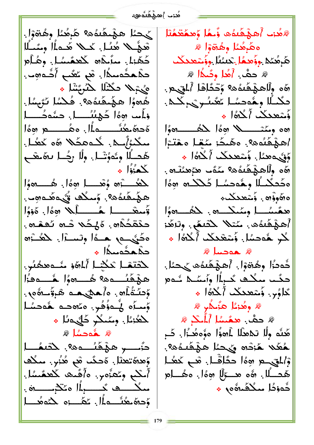هُدن إهمْ كَشُوهِ،

جحما هؤسفاها هومفروها وهقول هَيْما هُنُا. كَمَا هُـهِ/ْ وِمُمَـلًا كَتْكَةْلْ. مْتَرَمْلُهُ ݣْلْكْتْمْسْلْ. وْݣَالُو دكْمْحْدْمْسْلَا. شْمْ كْعُبْ أَشْدْوِبْ. هُ الْمَثَلَا لَمَدْ مِنْتَمَا \* هُ‰وُا هِهُىفَىٰهُ۞. فُحْسًا نَرُّىمًا. سلّاءُ∫ُــۂ. ێُـەھكَلا ھَٯ كَعُـا. هُصِلًا ومُوْشَا. وِلًا رَجُا بِهَنْهِ جَ**لَّمْنُوْلُ** لِمُكُسَّرُهِ وُهْكُلَّ هِهُ لِمَ هُـَــِهُوا هِ جُمِعَهُ مِنْ الْمَسْلَمِينَ وَسَلَمَتَ مِنْ الْمَسْلَمِينَ مِنْ الْمَسْلَمِينَ مِنْ تُوسِعْنَ الْمُسْسَلَمَةَ وَوَالَى وَوَوُا حَقَقُدُه . هُلِمُكَ ` مَـ ۞ تَعْصُرُ . هَدَيْبِ مِنْ الْمُسْتَوَاءِ لِكُمْتَ وَصَرْفَتَ دْهُ هَدُه مِيهُ ا لاقتقــا تَكْتِــا ٱلمَّارَ مُـــومَعُسُرٍ. هِهْكُنُـــهِ؟ هُـــــووُا هُــــودُا . وەڤىستېق مىمرىممەك . ھاقىئەي وُمِيزُه إِنَّـهُوُفُو. هكەھىم جُمْعِصْبا لمَعْنِمْا. وِسُمْكُو كَالَىهِ اللهِ م A Lioci A دَّىــــو هُهْكُنُــــه&. كَتْتُمُـــا وَهِدَهَتِعِتَلَ. هَدِيَّبَ هُم هُنُنٍ. سَكُف أَمْلَم وبُعْنُورٍ. وأُقَّده لَاهِمَسُاً. مكــــــــــه تمـــــــزأا هتثبـــــــــــزه . وُحدَّمَعْنُـــماً!. عَصَّـــزه ۖ حَمْدَهُــــا

هِ هُذِب أَهِجْهَنَاهِ وَعَمَّا وَمَعَقَفَتَهُ ٱلْمُ ٥ﻫُﺮﻩُﻣُﺪُ ﻭﻫُﻮَّﻭَ ﻫ هُرِهُمُمْ .ووُّههُا .تَعِينُا .ووُّسْعِدِكْتِ *®* حقّ. أمُّا وضُدًّا *®* هُه ولَاهِدْهُمْهُ وَحْدًاهَا ٱلمَّى وَ دكمبار وهُوصِمُها مُعْمَلُونَ وَلِلْكُمْ. وْسْعِدْكُمْ أَكْتُهَا ﴾ أَهْلُهُ هُمْ. وَهُدُ مُنْقَا وَهْتَبَرَأَ وَفَى وَهُدَا. وَمَعْدَلَكَ أَكْتُهَا \* 06، وَلَاهِكْكُمْ مُعْهُمْ مَكْمُد هُرُهَنْدُهِ . دَحَكْسُلًا وِهُدَسُسًا كَلَكْتُ وَدُوْا ەھُوۋە ، ۆشمىككە: هِمُسُمِّلِ وَسَمَّدُ مِنْ حَيْفَ مِنْوَا أَهِمْهَمَاهُ مِنْ مَعْمًا لِمُتَعَمِّ وَاللَّامَ لْكُو هُءَهْمًا. وُسْتَعْمَكْ أَكْدَهُ! \* @ Ludar @ دُّەدُا وِهُةَوْا. أَهِهْفُدُه كِحِمْا. حكَما ملكف كَجِلًا وأمسِّكَ شَمْع كَاوُبٍ. وَمُعْدَكُكَ أَكْدَهُ! \* ه وهُنا هُنگُم ه ه حقّ همّسُا *الْمُ*كْرِ ه هَٰنُه وِلًا نَـٰاهِـلًا ۦٱهوَٰۤا هؤَههُـٰٓءًا . ضَـٰرِ . مُعَد هُنْدُه مِيْحِمًا هِهْكُنْهُ مِهْمُ وْالمقِ هِ هِهُ احْدُاقْدا. هَم كَعُدا هُصِيلًا. ۞ه هيؤلُّ وِهُلْ وهُلْ وَهُمُ ئُەزىُل مىڭگىشەر پ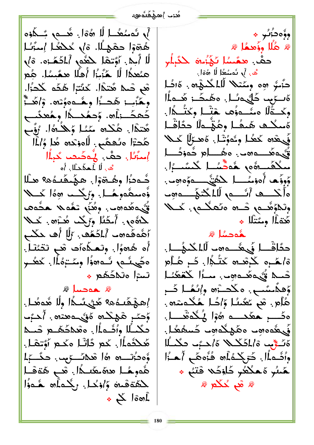هُدن /هِمْگُفُدُهِهِ

ْ﴾ تُمسُعُــا لَا هُوْا. هُــــم بُـــكُوْه هُوْوَا حقهِـلًا. وْلِمْ خُلْحُمَا لِمُّنْـلَا لًا أَبِي. آَوَّتِهَا لِحَقُوبِ ٱلْمَصِّدَهِ. قَارِ هنُعدُا لَا هُنُبُرُا أَهلًا هِمُسُلًا. هُع هُم حْبِهِ مُتِمَّا. كَنُتِهَا هَجُه كَجْزًا. وهَّنْتِ: هَجِيزًا وهُـوهوْتِهِ. وْاهْتْ كَعِكْــزْلُمْ. وَحِمُدْـدُا وِهُعِنَىــمِ هُتِمْاً. هُكُده مِّنْا وَلِحُدُهُا. رُؤْب هَٰحَۃًا منُعمَّم : لَّاموْتَده هُا وُٱۦلَّا ۖ إِسْتُلْلِ. حَقَّ. فَيُوَضَّحْتَ كُبِمًا } مُّى. لَا عُكْمِكْلا. أُه حُـودُا وهُـوْوَا. هِهُـمْحَـهُ هُ؟ هِـلَّا وْهِمْكُومِكْلْ. وْرُيْكْمْ رَهْدًا كْمَلْلًا تَيْءهُده من وهُنّي شَفْع لا هَدُءها لِمَثَمَوْمٍ. أَمَضًا وَرَبُّكَ هُـنْزَهِ. كَمِـلًا أَهُّهفُه مِ ٱلْمُلَّكَفُ بِهِ ۗ ٱلْمُ الْمَسْلَمِينَ ۖ وَلَا لَهُمْ يَقْلَبُ مِنَ لَيْلَ أَه هُدووًا. وِتَعَذَّدَاتَ هُم تَتَمُدَّا. ەڭچىگە ئىدەۋا ومىتۇمال. كىڭىز تىئى مىڭگە ھ 2 Lusca 2 إههْكَسكُمْ هُنْيَسُكُمْ وِلَا هُدهُـــا. وِّحَمْ وَهُكُلُوهِ وَفَيْ وَهُدُوهِ . أَحْسَ حكْساًا وأَثْـء)اً. هقدادَهُــع تَــد هَٰٓۮۿؘٵؙٳ. ڬڡڔ ۮؘٳڷڶٳ وڬ؎ڔ ٱوٞؾۿڶ وُّەدْتُــــ ﴿ أَهْلَائِــــرَىبٍ مِكَـــبَهِــ } هُومِمًا هِهَمْهُمُكُلِّهِ هَي هُوَهْما لْكَفَتْقْدَهُ وُ/وْكُلْ. رِكْدْأَه هُدَوُّا  $\cdot \times$   $\frac{1}{3}$ 

وؤەدالُو \* **& هُلَا دِذْهِهْا &** حقّْ. همّْسُا تَكْتُرْمَةَ لِكَبْلُو لَّهِ. أَبَّ شَمْعُا لَّا هُوَا. دَّىنُو وه ومُتملاً لْللگُمْ( وَ اَسْتَمَرْ الْمَالِمَانَ) كَامْتْ مَلْكَةْ مِنْكَارِ. مَكَّمَتْ مَوْسَكَةْ وكْتُلًا مِنْسَمْوُم هَتْسًا وكْتُبْدًا. هَمكُـُ هَمَدًا وِهُقْـٰهِٱ حَدَّاقًـٰا فَي هُده لَكَمُدا وِخُوُثْداً. هُمْدَرْلًا كَمَلًا تَّىءهَد وه علم من الله عنهم من الله عنهم من الله عنه من الله عنه من الله عنه من الله عنه من الله عن مَكْفَبِينَ وَهُدَّمْ لَمْسُدُ!. وُوؤُها أُەوْمُكْمَ لَكُنُّ وَوَمِيْدٍ. وأكسد أنسم لللكنني ووب وِلْكَوِّقْتِ وَسَيْنَ مَنْعَكُثُمْ فِي كَسْتَلَأْ هَدَمْالِ وَمُتَنْلِلُ \* 2 Lisan ة/هَــرِه كَـرِّهْــره كَتُــجُلَ. كَــرٍ هُــأمِر تَسَمَّ قُيْءَهُد، مِعْ مِنْ الْمُحَمَّدُ ۇقگىشىم. ەڭخىۋە وإنىما ئىر هُأَمْ: شَي مُعَْبُدًا وَٱحُـا هُكُـٰهِ مَهُ: ەڭب ھەكدە ھُوْل كُكُوشْكل. فَيْعَقُّەمِ مَكْمِنُدْمِ مَسْعُفُلَ. ەَنَـرَّى ەَالمَكْلا ەْلىـرَ، دېمىلل وأَثْـه|اً. كَتْرَجْـهْأَاه فُأَهْكُم أَـهـُۥَا هُىبُر ەُھكْفُر دُاؤدُ قْتُمْ ﴾ & a il ida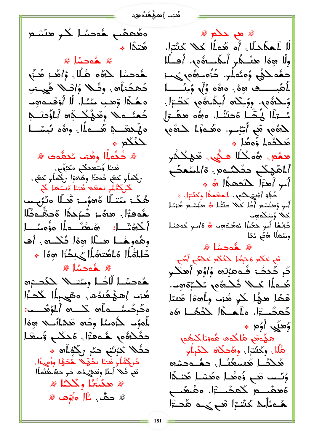هُدن إهمُ كَثَّهُ هِ ْ

ەھّھمَى ھُەجسًا كُبر ھسّشـم هُتِيْمًا ۞ 2 Lisai 2 هُءحسُل حَدَّه هُـُلل وْاهُــز هُــزٌم كُهكْنْݣُوهِ . وشْكَلا وُاصْحًا كَبِيجْتِ ەھْكْلَا ۋەي مَمْنُا. لَا أَوْقْسەھِت كُمِنُــهِ لا وقْعُومُكْــدْ؟ هُ أَلْمُؤْمِنْــدِ ەلمىحقىيې ھُسمال وۋە ئېشسا لمنكع \* @ حُثُم}ُّا وهُن مُحْدُد @ هُنئُا وُسْعدكُم مَكْبُوُّمٍ.<br>رِكْدلُر كَمِّي دُّدنُا وِعُتَوْا رِكْدلُر كَمَّى. كَرِكَةُلْرِ تَمَعُنَ هُرْيًا وَسِّعْلاً كَل ھُكُّ; مَتْتَلَّا ەُھۇس; تْخَتَّا ەنْۇبىس هُەٯْتَرَا. ھەمَّىز كَىرِّىدۇا ەَحَقْـەكْلَا أَحْدَثَ الْعَصْدُ عَلَّا وَوْدِسُهِ ا وهُدوهُــا هــُلا هِءُا ثَكْــهِ . أَه دْاءُمُّا كَمْتَمَامُ الْمُتَمَاءُ ﴾ . R Lisca R هُوصُط لَاحُط ومُنْتَىٰ كَحَدْثَرُه هُذَا إِهْهُفُلُهُ وَالْمُجِيبِمَا لَكَتْزَا ەكْبِكُىشْــەلُە لْكْـــە ٱلمۇھُـــى: لَموْم لِمُومُمَا وِدْهِ هُلْمَالَكِ هِوَا حثُلاةُ مُ هُـوءُ ۖ. وَ حَكْبٍ وَ مِعْدَ حفٌلا كَبُرْتُم حَمْرٍ وِكُمْهَ لَهِ \*<br>حَرَكْتُمُو هُنءُ بحَهْلا هُدَهَا وَوَّى أَلِّهِ هَمْ ثَلاً أَسُلَا وِهْلِيْهَ ه حُو حَمَّيْهُاْ ا ه منْدُمُل وكُلْمًا ۾ ۾ حفّ <u>ٺاُ</u> هزُوم ۾

a as ila لًا أَحكَمكاً. أَه هُماً كَمَلا حَتَّةٍ!. وِلَا هِهُا هِنُـُهُو أَحْكَمـُــَةُوبِ. أَهــُلا تَمِّنَ رِهِ هُمْ مَهْدُمْ بِهُمْ هُوَ مِنْ مَحْمَدِهِ مَنْ الْمَحْمَدِينَ مَنْ مَسْتَمْسَرَةٍ مِنْ لَمُبْـــــهِ وَهُ، هِ هُوَ وُلُو وُبِكْــــــل وَمِلْدَةُو. وِوَمِنْدُه أَمِكْمِدَةُو لَمَتَّةٍ!. ـُــتِمْلَ لِمُـثَّـل هَدَئُـُـل هِ هُو هِدَّـتِرَل لِمَثْمَهِ هُمْ أَتَبْسِرٌ. مَعْمَوْلُمْ لِمَدَّهُمْ هَكْثُما ؤُهِ هُا \* همْع في مُوكُلًا هِمِّي . مَهْكُمُ ٱلمَّهْكُم حَثَكْتُمَّةِ. ةَالْمُعَضَّمِ أُسِ أَهْتَرَا كَتَّقْعَدُا \* \* دُبُمْوْ أَهْدِيْكُمْ. مُحْتَمِدًا وِكْتُتِرَا. 8 أَسِ وَهَنَّهُم أَكُلُّ كَلَّا حَتَّنُا قُ هَنَّهُم هُنَّهُ ىملا ۇشكەھە كَتْتُمُلْ أُمِرٍ حَتَّنَازًا عَمَقَتَةِومِ ۖ وَّ هَامِرٍ كُمْعَنَا. ومّعلًا هُكّي عُدًا 2 Luid 2 قَعِ عُكُمَ مُحَبِّعًا لَحُكُمْ عُلَقَتِهِ أَهُبٍ. كَرِ كَـٰدَكُـٰ; فُـٰہِ2بَانَهِ وُٱوُمِ ٱهنگـٰدِ هُـه أَا كَــلا قُـلْــةُم كَــُبّةَوِت. فَعُل هَهُا كُر هُنِ وِلْمَوْةَ هُنَنَا كُعِثَمِــْتْلْ. وَلَمِــْهَلْ لِكَحُمُــلِ وَهُو  $\bullet$   $\circ$   $\circ$   $\circ$   $\circ$   $\circ$   $\circ$ هَهُوهُم هَٰالِكُوهِ هُوزَالِكُنفُومِ هُلَّا. وِكَنُّتَرَا. وِهَجْلَاهَ كَخَبِلُرِ هَٰٓدُكُم لَمُسمُنُكُمْ. حَقَّـهِ حَشَرُه وُنَّــب مْــع وُهِ مَا هَمَّــا هُتــدَّا ەُممَّى مِ كُممَّىــَةْ. ومُشَى هُـه،ُلُم كَنُنْـمْ! هُـــيٌ هَــــــرَّ!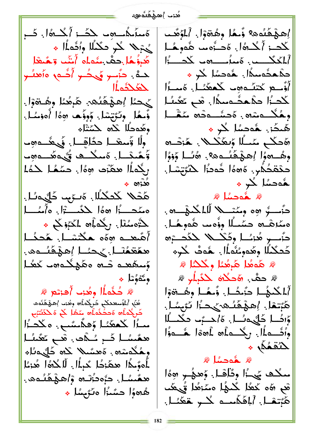هُدن إهمُ كَثَّهُ هِ ْ

كَسِلَكْتِ مِنْ لَكُتْ أَكْتَ الْمَاءِ كَبِ كْبْرِ لِلْهُ حَكْمُلَا وِٱثْمَاْلَ \* هُدِوُٰهُا حِفَّ عُمَاه أَنْثُم وَهُبِعْدا هــة . حَنَّـــو فَيحــُــو أُخْـــم هأهنـُــو لمفكفها جُحِمًا إِهِجْعَلُهِ. هَٰٓٓٓمِعُمًا وِهُـقَوۡلَ. وُّمطُل ويُؤتِيسًا. وُوؤُها هِهُا أَهْوَمُمَا. ومُدحُلا كَلَّه لَحْمَتْلُو وأَل وَّمِعْكُمْ حَدَّافٌ لِ فَي مُحْكُمِّونَ تَمَسْلَى أَسْلَاتُ قُلْ مِنْ مَسْلَاتِ رِجُماً مِعَّزِدِ مِهْلِ حِمْعًا حَدَّدُ ∻ တచీ هُتْمَا لَكْتَكْلًا. ەُنْزَىنْ كَايُتْمَا. دمئجسةُ المؤالِكْمِسْتْزَا، داُمْسَا ڭرەمئىلل. رېڭم<sup>ۇ</sup>اھ لمڭئېونكى پ أَهُبْعِيهِ وَهُوَ هَكْتُسْلَلْ هُجِئُنَا .مصلّفهُما إلىكمرٌ. لِـنْمَعْمَــه ۇسقىدە ئە ەئىمگەھە ئىغا وثفؤتا \* & حُذُماُ! وهُنِ أَعْنَصْ & ِ هُنَّهِ ٱلمُفْسِيْدَيْمِ كَرِيْكُمْلُو وِهُنِت إِهْلَهُفَنُّدَهِ<br>كَرِيْكُمْلُو هُدَخُدْمُلُو مِنْتُعُل كُلِّ هُ لِكَنُّنَبِّ مىلُّا لْكَمِعْنَا وُقِدْمَسَى. مَكْحَزًّا همُسُــا حُــو سُــدُه . هَــع مُعُسُــا وهُكُدْسُهِ . ةَهشَمالاً لَمْهِ كَلُّهِ مِنْكُمْ. لَمَوَّىمًا مِحَرَّكًا كَبِلًا. لَّا كُرَّهُ! مُرَبُّا همُسُل. حرُّەدُرْتُـدە وْاھِهْكُنُـەھ. هُدوُا حِسَّنُا دِنَّوُبِمُا \*

إهوْهَمُده؟ وَّمعُلْ وهُوْوْلِ ٱلْمُؤْهَّبِ لَّكْتُ أَكْتُهَ أَ. ةَحْتُومُتْ هُومُطْ أَلْمَكْـــبِّ هُمِيزُــــــــــهِ كَحــــزًا حكْمحُەمىكُا. ھُەھسُل كُنو ھ أَوْسِعِ كَتْشُوهِم كَعْمَدًا. وَمِسْرًا كْحِبّْا حِكْمْحُدْمِيكُا. شَمّ عْعُبْنَا وهُنْكَــوسْنَة وَحِشَــوْدَة مَنْقْــا هُىدًا. هُەدسُا لُكِنْ ﴾ ھَڪُم سُمالُا وُلِعَكُمْ . هُرْتُــدُه وهُـــووُا إِهِجْهَنُــهِ؟. وَهُـُــا وَوَوُا حكْقَحُكُمْ. هُ‰ا حُودُا كْتُوْتِسْلْ. هُەدىئا گې ھ 2 Lisan 2 دَّنُــــوٌ وهِ وَمِّنْــــــــلا لَمَا كُمَنْــــــو . ەممُرەٓدُ دېمَماُ لوؤُەمد ھُەوھُل. دَّسو هُنسًا وِكَنْكُمْ كَنَحْسَرْه كُّْتَكْمُلَا وِهُدُومُثَمَ*أ*ا. هُدَتْ لَكُو\* ه هُوهُا هُرِهُنا وكُلْمًا *ه* & حقٌّ. وَحَكْمَهُ كَثَبِلُو & ٱلمَكْدُ احْتَحُا. وَّحْا وِهُـةَوْا هُبْتِهَا. إِهِهْفُلُـهِيَ حِزًّا لَرُّجِمًا. وَائْسا خَلْهُجِسًا. هَا مِنْسَمًا حَكْسَلًا وَأَثَــْـهِ أَلْ. رِبُّــْـهِ أَلَّاهُ أَرْهَةُ الْحُـَـْـهِ وَٰ لمَقْمُكُم \* @ Lisai @ مىڭگ ئىما وڭاقىل ۆھۈپ رەەا هُم هُمْ كَمُنْهَا كُمْكُمْ كَمْكُمْ مُهْ مِمَّا هَّتِمْا. ٱلمَكْمَسه كُــرِ مَعَنَــا.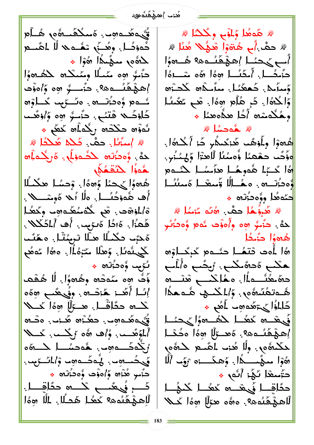هُدن إهدُفَتُه هِ :

قَّ مِعْصَدِهِ مِنْ مَسْلَاهُ مِنْ مِنْ مِنْ مِنْ مِنْ مِنْ كُودُـٰا. وِهُــَىٰ صَدْـه لَا لمصُــع لِهُ مِنْ مَلْحَمَلُ الْمَوْلَ دَّمَرٌ وهِ مَمْلًا وِمَكْلُه كَفُووُا إِهِهْكُسُــه\$. حَزَّىـــرٌ وَهِ وَإِهْوَد ئَـــەم وُەداللَــــە . ەلـَـــرُبب گـــاۋە كُلُّوْكُــلا قْتُبُ . حَزْنُــرٌ وَهِ وَٱوْهُــب ثُوْرُه حَكْتُه رِيُّد، لَه كَعَلِ \* *ِ هِ إِسْزُنْا. حَتَّ. كَـٰ*كُمْ هَٰكُـدًا *هِ* هةُ . وُ٥دُرْلِهِ ۖ لِكُـدِفِيلُ . هُرَيْكُديلُهِ هُدُوُّا كَنْقَعُمِّْي هُهوَا حِحْدًا وَهوَا. وْحِسْا هِكْسَلَا أَفْ هُوَدُنُـــاً. وَلَا أَبْدَ وُوِسْـــدْلاً . ة/لمؤهّد و هم كُثْمُكُدوب وكْتْد فَعَزَا. ەُائا ەُىرِّس. اُفْ اْلْمَكْلا. ەْدَب دڭىلًا ھىلا ئىمنىل. ەھَنَى لْكَيْحُمُّا . وَهِلَّا مُتَوَمُّأَ . وَهُ أَحْمَٰى ؤَفٌّ وَهِ مُمُودُه وِهُووُإٍ. لَا هُفْعَ إِنَّا أَهَٰذَ هَٰذَٰتُ وَفَيٰ هُمَا وَهُمْ يَعْمَلُ تَحْـهِ حَقَلَقْـا. محــوْلَ هِهُا حَمــلا و الله عليه من الله عنه من الله عنه من الله عنه من الله عنه من الله عنه من الله عنه من الله عنه من ا ٱلْمَوْهَــب. وُإِهْ هُ٥ رَبُّــب. كَـــلا ئِكْمَكْسَمْهِدْ. هُمْحَسُّسًا كَسْمَهُ يسومالم والمستمرين وألم المستمرين  $\bullet$   $\bullet$ فَ $\bullet$  وَ $\bullet$ ا $\bullet$ وْد وَّ $\bullet$ دَّ $\bullet$ لَاهِجْهَٰدُهِ؟ كَعُدا هُدلًا. لمَلْا هِءُا

**\* هَءمُدا دُلْوْمٍ وِكْلِدَا \* & حقٌّ. أُبِي هُوَوْا مَنْهُلا مُنا &** أَمِ يُحِمُـا إِهْهُقَاعَاهِ؟ لَـنْصِرٌ مِــاً دَّمْدُ لِي أَمَدُ لِي الْمَالِّ مِنَ مَسْدَوْا وَسِيَرِيمٍ . كَمِعْتُمْلِ. سِيَرْجَعُ لَكَتْرُو وَالْحُدُّا. حُرِ هُأُم هِءُا. هُم مُعُسُل وهُكُدْمَهِ أَجُل هِدْهِ هَذَا \* 2 Lisaa 2 هُهوْا وِلَمْوْهُد هُزْكُمْلُو خَزْ أَكْتُهَا. وَوَّكُ حَمْعَنُا وُّومُنُا لَاهِنَّا وَّلِيُنُو ِ. فأ كَبَرًا هُومِهُا هِنَسُا كَسُومِ وُّەدَٰزْتْــرە . ەھُــالُّا وُّمىغْــا ەْمىلُنْــا حمّەھُدا وۋەداللەت \* ، هُروُهُا حقٌّ. هُنَّه مُ<sub>ن</sub>سُلٌ \* هةٌ . حَنُبٌ ٥٥ وأُ٥وْت عُهِ وُ٥دُنُو هُدوُا حَزْمُطُ هَا لَمُو دْتَمُـا حَيْـوم كَبِيْـاوْھ ھڭىم ەَدەَمَكْىم. رُيْضُم ە/ْلْم دەْمْشْــەلمْا. ەھْلىكىپ شتـــە هُــەتمُنْدەُه. ﴿الْمَنْدَى هُــمِـهَا دَّلْمَاوُّلِّ مُعَمَّدِهِ مِنْ مِنْ مِنْ مِنْ أكسرته المصر المكم للمشترين إهوْهَلُـه\$. هُمْــرَّلْ هِهُ وَدُّــا حكْمةُهر. وِلَمْ هُنِي لِمَصْـعِ حَـدَّهُم 8ُوْا مِدْهُـــدًا. وُهكَـــزه رُوِّــ أَلَّا دَّسْمَا نَنْيَ: أَنَّمْ \* لَاهِهُهُمُوهُ. وَهُوَ هُمُوْلِ هِوَا كَمِلاً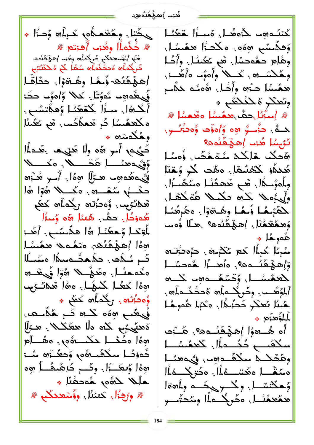هُدن إهمُ كَثَّهُ هِ ْ

ي جَتِلْ. وِهَعْمَعْهُمْ مُدبِّلُهِ وَجَنَالَ & كُثُماُ أوهُن، أُعنتم & هُنَّبِ ٱلمُؤْسِعِيْكُمِ ضُرِيْكُمْلُهِ وِهُنِ إِهِهْقُلُهِ صَٰٓگەاُھ ەَحصُّفُەاُھ سَٰھَا کُمْ ەَحْکَتُبُمِ ارههْكَنُه زُحمًا وِهُـةَوْا. حَثَاقًا فَي هُدُوهِ بِ شَوْتُلْ. كَمْلاً وَ/وَقِّ حَجَّزَ أَكْدَّدًا. مِيزًا كَمَعَّنُا وَقِدَّتْسُبِ. ەڭلاھُىسُا ئې شمكَائىب. شى ئېشا  $\rightarrow$   $\circ$   $\circ$   $\circ$   $\circ$   $\circ$ ألمصنِّهِ. تعريبُهُ أَبِّي هِ مِنْ مِصْرِيْتُ ۇنئ ەھئىسلى ئەقسىملا . ەنگىسىلا حَكَّبُ مَّمْــهِ. هَكَـــلاَ هُوَا هُا هُدْكُرُبٍ. وُدْدُتُه رِبُّدْءُه كَعَكِمْ هُدودًا. حتَّ. هَننَا هُو وَسأل لمُقِيْدا وُحِكْمُا هُا فِكُسُبُ. أَهَٰذ رەۋا إھۇگلەر. ەتمەملا ھىسلى كُم شُكْفٍ. حَكْمَحْشُومِكَا وَمُنْسَلًا ەئدىمىگە ئۇسلاپ ھۇل ئېڭىدە هِهُا كَعُمَا كُنْهُمَا. وَهُا قَبْلَتُوْبِ  $\bullet$  နိုင်ငံက ကိုင်းကို ကြိုးကို အ فُیھُبے ہوَہ، لَک صَدِ حَکْمِت، ەُھكَيْبَ لَاه ەللَّا ھەكْلْمَىلا ، ھىئى هِهُمْ وَحُمْسًا حَكْمَسِهُوبِ. وَهُسْأَمِ دُّەوۡصَٰا مىڭگَىــە۞ وۡحَـعُــٱ;۞ مُـــز هِهُا وُبِعَيْـٰٓءَا. وِكُبِّ كَاهُبِهُـٰأَ هِهِ هألما لمثُهم مُفْحِقُلًا \* هِ وَرَجْزًا. يَعْبُدُا. وَوَسْعِدِكُمْ \*

كتئــوب لأوهُــا. هُمــاً مَعْمُـاً وُقِدُّمْنُمْ وَهُو. وَكُحَزَّا هُمُّسُاً. وِهَٰامِ حَمْدَحَسُلَ. هُم كَعُنْصًا. وأُكُل وهَكِشِيهِ , كَمِيلًا وأَدْوَى هُ أَهُمْ ; همُسُل حزْرَه وأُحُل هُءَيْهِ حَكْسِ وِنَعْكُمْ هَ لَكُلْمُتُمْ \* ه إمبراً حقٌّ هندا معْصَداً ه هــةُ . حزُّبُ وَ وَ/ووْحَ وُوَصُّرْب لَوُّبِسُا هُزم إِهْلُهُكُمُ \$ ھَحكُم هَاڭُه مُتَمَكُم. ؤُەمُل هُدَاهِ كَتَفَسُّمْاً. هِ هُت كُر وُحْمْلَا وِلَمَوْسِـكَا. هَــم هُـعفَـُـل منْـهُــزُا. وْلِيُوْمِلا لْمَدْهِ صَلْحَمْلا هُقْلُهَا. لِكْتُبِيمًا وُسْمًا وهُـ قَوْلَ. وَكَرِهُنَا وَهِمُعَهُمْلَا. إِهِجْهُمُهِ؟ .هِلَّا وُّهِ مِ |هُموهُا \* مُبِطُ كَبِلًا كُم كَكْبِيهِ . حَزْوَقْتُوه وْإِهِجْكَنُسُمِعْهِ. وأهسْرًا هُوَجِئْسًا لمعمَّسُه أن وٌدِّسَمٌ وهِ مِنْ كَلَّ مِنْ ٱلمُوَّهَّــــــــ، وحُـرِجُــْـــه الله هَحكُــُــه الله . هَٰىئًا نَعكُو حُحَّنَـٰهًا. 25َ هُءُوهُـا  $\frac{1}{2}$ أَه هُـــهوُ! إههْقُلُــه&. هُـــْتِ سلامًى حُدٌّےأَا. كَعمَّسُــا وهَدْكُمْ مِكْفُوهِ وَيُوهِمْهِ ەممَصْل ەھتىسەلما . ەدەككىما وُهكْتْسْما. وكْسِرِيْهُتْ وِلْمَوْةَا همُعمُنُــا. ٥كُرِيْــهِـدَا وِمُحَتَّىـــو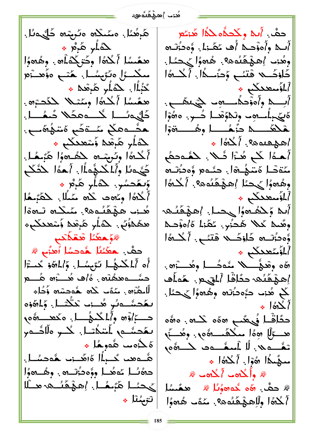هُدن إهمُ كَثَّهُ هِ ْ

هَٰبِهُمُّا. مَمَّىكُه مَكْتُمْهِ كَٱلْمَالَ. كَمْلُو هُبِعْو \* همَّسُا أَحْدُهُ الْحَرَّجُكُمُّاتِ. وِهُدَوُ مىڭلىئل ەتئى ئىل. ھتى دۆھىۋە كَبُرُاً. كَمُلُو هُرِمْهِ \* همَسُل أَلَدهُ اوسُنْدَلا لِمَنْدَوِهِ. خُلِّيهِنُــا تُمْـــهِ مَكْلًا ضَعُـــا. ھڪُــەمَكَ سَــتەَحَٰـهٖ ەُسْمُ16ْــــهِ. لْكُ*مْلِ هُ*بِقْدْ وُسْعَدْكُمْ \* أَكْتُوا وِتَرِبْتِ حَقْدُووا هَبُعُا. دَّيْهِ مَا رَأَ الْمَدْوَّهِ أَلِي أَحْفَا لِلْحَقَّكِمِ وُلِمُحِسُنٍ. كَمْلُنٍ هُرِمٌ \* أَحْدَهُ! وِمَهِ د حَمْد مَمْلًا. حَكَّدُهُا هُدن هِدْهُنُده؟. سُكْلُه تَدهةَ ههُدُوُنٌ . حَدَٰلُو هُرِهُدْ وَمَعدكُم ِ هِ هؤمطما شقكتب حقٍّ. معَكِّنُا مُوصِيًا أُهِنَّى 2 أَه ٱلمَكْنُولُ لَوُجِئْنَا. وُٱلْمَوْمَ كَنْتَوَا لَّامِكْنَوه مِنْ مَدْ مُوصِّده وَّدُا وَ ىمّحىئىـــەئې ھُـــزىي تىڭثىـــل. ۆلم\ۋە حَسِّبُهُوْهِ وأَلْمَكُمْ إِنَّ مَكْعَسِدَةُ مِ بعُجشَــم لمُتمُثـــل كُـــر ولَلأَــُــور ەْلْدۇمىي ھُەوھْل ھ هُــومد كُــراًا وَاهُــزد هُوجِسُــاً. حدُبُ لَـه هُـــا ووُهجُنْــــره . وهُـــرهوُا للْمَسْلَمِ مَبْسُلٍ. إِهْهُوَ الْمَسْمَدِ هَذَا ا | تنهئة |

حقٌّ. أبد وكحدُّه حدًا هُزِعُو أَسِمْ وأَهْوَهُمْ أَفْ عُصَّبْهُ. وُهْدَٰتُه وِهُنِ إِهْلُهُكُمْ وَالْمَحْمَدِ. هُدُواْ حَكْمَا. كَاوْكُمْ قْتْبُ وُحَزْسِكًا. أَكْمَا أَلمُؤْمِعْدَكُمْ \* أبها وأهوهكمسلوم لمثى ينفسع. ەڭگىملىسەت وتىلۇتىنىڭ ئىس، دەۋا lateros: itchl . أَحْدًا كُم مُنْ أَنْكُلاً . كَفُّوحَهُم مْتَوْصًا هَتْنَهُــــوْاً. حَسَّــهِ وَوَدَٰتُـــو وهُدوُا حُحْدًا إِهِهْكُلُوهِ؟. أَحْدَدُا أَلْمُؤْمَنْتَنْكُمْ \* أَبِي وَجَدْهُ وَوَا حَصَبًا. إِهْهُفَنُيْهِ وِهُدا كَلا هُدُو. كَمَّذا هَاهوْدا وُودُرْت هَاوَدُ هُتُبٍ. أَكْتُوا أَلْمُؤْمَّعْنَكُمْ \* هُه وِتَعَهُّــــا مُّـهجُـــا وِيُحَـــْزَهِ. إهمْكَنُهِ حَثَلَقًا أَمْلَىٰ مَعْلَمَا كُمْ هُنِ دَءُدَتُه وِهُهُوْا حُكْمًا. أَحْدَهُ المج مَسْـرُلُمْ مِهْدًا مِثْكُمْسِـرَةُوبٍ. وِمُسْــزَى تَعُسَمِينَ الْمُ أَسِعْسَمِص لِكَسْرَةَ مِ مِيكُما الْمُوْلِ أَكْلَاهَ الْمُجْمَعَةِ کا واُلمحدہ کے لکھت ک ® حقٌّ. ۞ه خُدرهوُنُا ® مَحَمَّسُا أَكْلَاهُ وَلَلِعَهُكُمْ هُمْ. مَكَمٌ هُدُووُ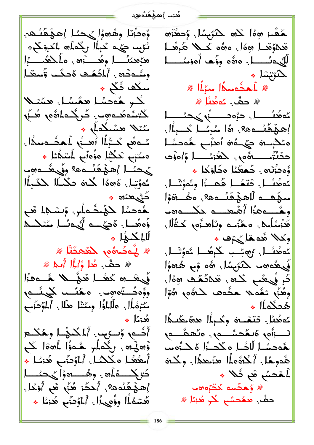هُدزب إهدهُ هُدُه هونه

وْهِدْتْلْ وِهُهْوْلْ كِحِمْلْ إِهْهُفُلُـهِـرْ. سُرِّي مِنْ الْمِيَّةِ مِنْ مِنْ مِنْ مِنْ هبِّهمْنُــــا وِهُـــــتَرْهِ . هأَلَكْعُــــــبُّ ا وِمُـودُه ِ. ٱلمَّصَّٰفُ هُحَكََّب وَّمِيْتَنَا سَلْكَ ثَكْمٍ ﴾ كُمْرٍ هُوَدِسُمْ هُمُسُمْلٍ. هِمُنْدَلا كْتِسْمَعْصُمِين. خَرِيْكُمْلَاڤُومْ هُــزُو سُنْلًا هِسُنُدْهُمْ \* حْـدَمُعِ كَــٰٓٓٓٓٓٓٔٓ׆ُمْ أَهـٰٓ يُ الْمَدُّـدممُاْ. ەمئېم تىڭنا ەۋەأىم لمتىكتا \* بجمشي موقع النصرح هُوُتِيا. هُ‰ا كُنْ تَكْبُلا كَثَبِٱ! خ متصر ثم ِ هُء*َحِسُا جَهُنُدُوماُنِ. وَنَسْجَا* هُم ؤەمكىند الے مركبة . الے موق لَّاءِ كُنْ اُ \* **& لَىٰ صَدْهُ) لِمَعْصَدَتْ الله** ® حقٍّ. هُا وُإِيَّا أَبِّهِ ® فَي هُـــه / سَــوْكَ الـــهُــة مـــه مِنْ ا وَوْهِ شَرْكَةٍ مَسْتَدَّةٍ مِنْ مَسْتَدَمَّةٍ مِنْ مَنْ مَنْ مَنْ مَنْ مَنْ مَنْ مَنْ مَّتْزِهُ أَلِي وَالْمَاؤُا وَمَّتْنَا هِلًا. أَلْمَوْجَنِّب هُذِمًا \* أَكْمِ وَسِمِّهِ ۚ. أَلمَكْنُوا وِهَكْم وْهِ فِي مِنْكُمْ مِنْكُمْ مِنْ مِنْ مِنْ الْمُحَمَّةُ الْمُحَمَّدِينَ مِنْ الْمُحَمَّدِينَ مِنْ الْ أَحْفَقُوا مِكْلَمَا. أَلْمُؤْمَنُنِي هُزَيْنَا \* دَّتِرْكُمْ وَالْأَمَّةِ. وِهُمُ وَالْإِيْحِمْ إِلَى الْمَرْدَمُ إههْكُلُوه؟. أَحدٌ: هُزًى هُم أَوْكُلُ. هَنْتُمَاْلُ وِوْْيِدَاْ. أَلْمُرْدَبَ هُزْمًا \*

هَقَّدَ وَهُمْ كُلُو كُلُّكُمْ وَحَقَّدُو قُلْمُؤَهْدًا هِهُا. وَهُوَ كَمِيلًا هَرِهُمَا لَلَيْهِ مُنَا إِنَّ وَقُومٍ وَوَجَّعَهِ أَوْوَمُكُمْ الْمَسْلَمَ حققتها \* @ 12m 12m - 1 P ه حفّ ِ مُو<mark>سُل</mark> ه كمحكم لأصبح وثقبت المستفقة إهدْهَنْـــه\$. هُلْ مُنْتَلِ كَتَـــرَاْلَ. ەڭلابىغە كۆكە أەدَّىب ھەدىئىل وُّەدَٰ;َتُه . كَعَعَّمُا ەكَاوْبُدا ﴾ عُەھُئَــا . دْتْمُــا كُـمــزُا وغُورْ ْــا . سَمُوَد العَهْفُسُدِهِ؟. وهُدْوَوْا وهُـــدهُ أكْمَعـــد حكّــده هُذُمُلُمِ . هِ هُنُمُ وِلَلْهِ نُومٍ كَخُلًا . وْلِمَلا هُدهْ لِيَّتْرُفْ \* كُەھُنُــا. رُومَــب كُرِهُــا ئُەرُشْـا. فَيْحَقُّوهِ ۖ لَلْمُؤْمِنَا ﴾ وقَوْمٍ مُحَمَّدُورُ كَمْ فَيَحْسَمِ لَكُمْهِ. شَكْكُفُ هِذَا. وِهُنَى يَعْمَد حَدَّده لِدَوْهِ وَهُوْا هٔ دگهاُ \* حْمَمُنَا. تَتَمَّتْ وِكْبِلًا هِمَّتْهَالُمَا رمــــوُّمن، بِمـــمْـــمن مَّـــم هُوصِيًا لَّاصُل وكُحِبُّ وَكَحَبُّومِ هُدوهُا. أَكْدُهُ مِلْمَ هُزَىعِكُمَا. وكُن مُقْدَسُ مْعَ ثَلاً \* **& وُهكُسه كَتَّبُره هـ** حقٍّ. همّحسّب كُرِ مُناءُ ه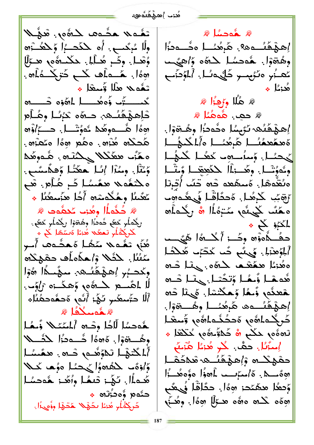هُدن إهمُ كَثَّهُ هِ ْ

تَعْمَلا مصُّمت له\$هب. تَعهُلا وِلًا مُبِكَىبٍ. أَه كَحُصَبًا وَكَعُصَّةٍ وُهْلَ. وِضَّرٍ هُـأَلَمْ. حَكْــوهُ٥ هــوُلُ 169. هَـــه لَمَـــه كَتر كُتر كَـــهُ لَــه. تَمُّدَيْهُ هَلَا وُسْعَدُ ﴾ كَعَــــــتُ • وَوَهُـــــــــا لِمَوْوِ وَـَــــــــوه دْلِعِهْفَنُــعةِ. حــوهُء كَبُنُــا وهُــأمِ هِهُمْ هُـــوهُمْ شُوُتْــا. حـــرُوْهِ  $\therefore$  dégee de contraction. مَمَّةٍ، هَنَّدُ الْمَكْمَلَا لَمَّةٌ مَّذْكُمْ مَنْهُمْ مَنْ وَعْتْلَ. وِمُآلَ إِسُلَ حَكَيْبًا وَقِدْمَسَبٍ. ەخشقە ھىسىلا ئىر ئىلەن قىم مْعَمْدُا وهُكُدْمَة أَجْلَ هَزَمْهُمُا ﴾ *® حُذْهَأَا وهُ*ن مُحفَّدت *®* رِكْدلُرِ كَبِكَ دُدَرُا وِهُمْوَا رِكْدلُرِ كَتَبَ. كَرِيْكَةُ لَمْ تَمْعَكَدْ هُوَيْا وَسَيْعَا لَكُلَّ ﴾ هُنَّى تَعْدَلا مَقْدًا هُجَدُّدَهَا أُسو مَنْسًا. حَثَلا وْاحْدَدْكْ دْهْدِكْلُ وكْتَبْرِ إِهْهُكُنْـْهِ. سَهّْنَـٰهُا هُوْا لَا لِمُسْمِرِ لِمُسْمَىٰ وَعِكْنَ رَاوَى. ٱلَّا حَتَّمعَكُمْ لَـٰٓى ٱللَّٰهِ ۚ ٱصْحَفْحَحَمَٰلُا ۚ ۖ R SL SA هُوحِمُا لَّاحُا وحْده ٱلمُحَكَّلا وُّحِمَّا وهُـــةَوْلِ. هُ1هُ/ خُـــهِ دُرُا ۖ لِكُــــلا ٱلمَكْتَهْا لَكُوِّهُــهِ دْــهِ. همْسُـل وَأَوْدًى لِلْعُمَوْلَ لِمُحِمَّلَ دَوْهَا كَمِلًا هُدءاً!. نَهْـ: تَعمُـا وأهُـ: هُودسُـا ∻ တ<sup>ျိ</sup>ုင်္ဂဝန် ထုလ် دُرِكَةُ لَم هُزْءُ بَكُوْلًا هَدَهُا وَوُّى أَنْ

2 Lisan 2 إهوْهَنْــه؟. هُبِعُنْــا مِثَــودُا وهُةَوْلِ هُدَسُلٍ لِهُمَنْ وَاهِيَب كَعَـزُو ەنْزُمِسو كَالْكِماسُـا. ٱلمَرَّدَنْب هُذِمًا ﴾ ه هُلا دِرْجُوْا هِ ه حمر. هُوهُ*نا ۾* إهوْهَدُه نَبُسُا وشُودُا وهُـوْوَا. هُههُههُـُـا هُبِهُـُـا هُلْكُمُـا حْمِدْسَا. وَمَسْأَسَدَهِ حَدَّسًا لَكُنْهُمْسَارِ ومُوْتْكَ. وهُــزْلَمْ كَكَعِقْطَ وُنْتَـا ەنُقْەھْل. ەَسكەھە دە قىّ أُقِرِثا رُوْمَ، كَرِهُـا. ەُحكَاقْـا فَيْحَدُّ وَمِنْ لمكبَّرة كلَّج \* دفُـذُهُوْهِ وِحُــز أَكْــهُ الْهَيُــب ٱلْمُؤْهَّدْ: وَلَّكُمْ شَاءَ مَنْ مَنْهُمْ مَنْ مَنْهُمْ مِنْ مَنْهُمْ مِنْ مَنْهُمْ مِنْهُمْ مِنْ هُدهَـا زُنمُـا رَّتْحُتـا. حِمْـا تَــه هْمَدْمُو وَمُعَلِّيهِ وَهُدَاءٍ. وَمُعَمَّد إهدْهَنُــهِ هَرِهُنَــا وهُـــةَوْلَ. كُرِيْكُمْلَاهُمْ هُحَكُمْمَاهُمْ وَّسْعْدَ لَهُ مَمْ مِكْمٍ مُّ كَلَّاتُمْ مُكَلِّكُمْ \* إِسْتُمَا. حَتَّ. ݣُرِ هُزْمًا هُنْتُمْ ا حفهك وإمهفُكُمه مُمكِّفًا وِهُكُمْ وَالْمُؤْلُمُ وَالْمَدَّوَلُ الْمُؤَلَّمَةُ وَالْمُسَوَّرَا وَحَعُلِ مَعْمَدَ: ﴿ وَٰٓءَا ۖ. حَدَّاقًا ۖ فَيَحْتَمِ وَهُمْ كَلِهِ وَهُمْ مَدْئِلَ وَهُدًا. وِهُدَّى